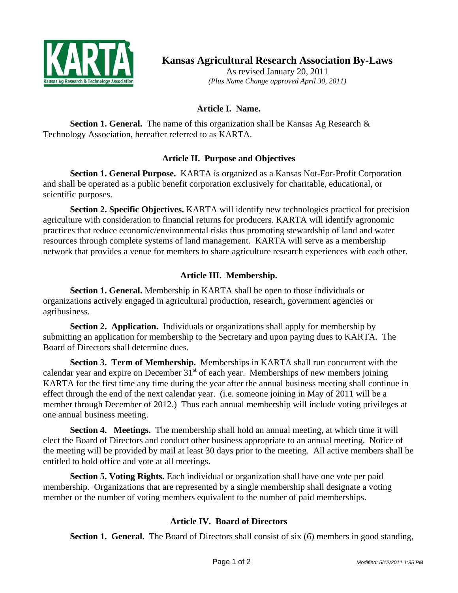

**Kansas Agricultural Research Association By-Laws** 

As revised January 20, 2011 *(Plus Name Change approved April 30, 2011)*

## **Article I. Name.**

**Section 1. General.** The name of this organization shall be Kansas Ag Research & Technology Association, hereafter referred to as KARTA.

## **Article II. Purpose and Objectives**

**Section 1. General Purpose.** KARTA is organized as a Kansas Not-For-Profit Corporation and shall be operated as a public benefit corporation exclusively for charitable, educational, or scientific purposes.

**Section 2. Specific Objectives.** KARTA will identify new technologies practical for precision agriculture with consideration to financial returns for producers. KARTA will identify agronomic practices that reduce economic/environmental risks thus promoting stewardship of land and water resources through complete systems of land management. KARTA will serve as a membership network that provides a venue for members to share agriculture research experiences with each other.

# **Article III. Membership.**

**Section 1. General.** Membership in KARTA shall be open to those individuals or organizations actively engaged in agricultural production, research, government agencies or agribusiness.

**Section 2. Application.** Individuals or organizations shall apply for membership by submitting an application for membership to the Secretary and upon paying dues to KARTA. The Board of Directors shall determine dues.

**Section 3. Term of Membership.** Memberships in KARTA shall run concurrent with the calendar year and expire on December  $31<sup>st</sup>$  of each year. Memberships of new members joining KARTA for the first time any time during the year after the annual business meeting shall continue in effect through the end of the next calendar year. (i.e. someone joining in May of 2011 will be a member through December of 2012.) Thus each annual membership will include voting privileges at one annual business meeting.

**Section 4. Meetings.** The membership shall hold an annual meeting, at which time it will elect the Board of Directors and conduct other business appropriate to an annual meeting. Notice of the meeting will be provided by mail at least 30 days prior to the meeting. All active members shall be entitled to hold office and vote at all meetings.

**Section 5. Voting Rights.** Each individual or organization shall have one vote per paid membership. Organizations that are represented by a single membership shall designate a voting member or the number of voting members equivalent to the number of paid memberships.

## **Article IV. Board of Directors**

**Section 1. General.** The Board of Directors shall consist of six (6) members in good standing,